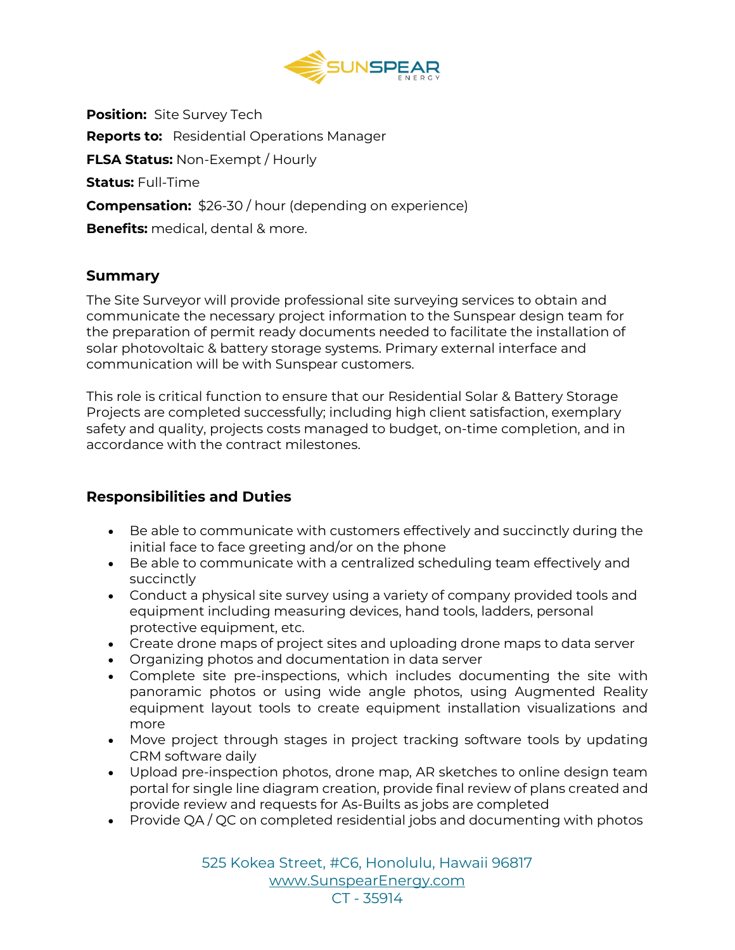

**Position:** Site Survey Tech **Reports to:** Residential Operations Manager **FLSA Status:** Non-Exempt / Hourly **Status:** Full-Time **Compensation:** \$26-30 / hour (depending on experience) **Benefits:** medical, dental & more.

#### **Summary**

The Site Surveyor will provide professional site surveying services to obtain and communicate the necessary project information to the Sunspear design team for the preparation of permit ready documents needed to facilitate the installation of solar photovoltaic & battery storage systems. Primary external interface and communication will be with Sunspear customers.

This role is critical function to ensure that our Residential Solar & Battery Storage Projects are completed successfully; including high client satisfaction, exemplary safety and quality, projects costs managed to budget, on-time completion, and in accordance with the contract milestones.

## **Responsibilities and Duties**

- Be able to communicate with customers effectively and succinctly during the initial face to face greeting and/or on the phone
- Be able to communicate with a centralized scheduling team effectively and succinctly
- Conduct a physical site survey using a variety of company provided tools and equipment including measuring devices, hand tools, ladders, personal protective equipment, etc.
- Create drone maps of project sites and uploading drone maps to data server
- Organizing photos and documentation in data server
- Complete site pre-inspections, which includes documenting the site with panoramic photos or using wide angle photos, using Augmented Reality equipment layout tools to create equipment installation visualizations and more
- Move project through stages in project tracking software tools by updating CRM software daily
- Upload pre-inspection photos, drone map, AR sketches to online design team portal for single line diagram creation, provide final review of plans created and provide review and requests for As-Builts as jobs are completed
- Provide QA / QC on completed residential jobs and documenting with photos

525 Kokea Street, #C6, Honolulu, Hawaii 96817 [www.SunspearEnergy.com](http://www.sunspearenergy.com/) CT - 35914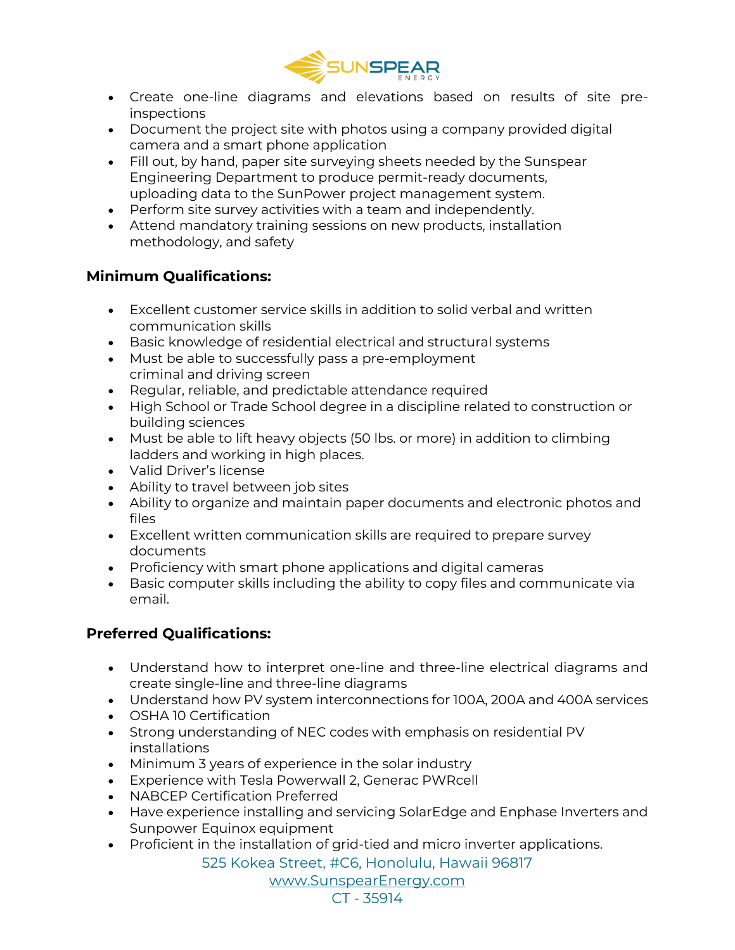

- Create one-line diagrams and elevations based on results of site preinspections
- Document the project site with photos using a company provided digital camera and a smart phone application
- Fill out, by hand, paper site surveying sheets needed by the Sunspear Engineering Department to produce permit-ready documents, uploading data to the SunPower project management system.
- Perform site survey activities with a team and independently.
- Attend mandatory training sessions on new products, installation methodology, and safety

# **Minimum Qualifications:**

- Excellent customer service skills in addition to solid verbal and written communication skills
- Basic knowledge of residential electrical and structural systems
- Must be able to successfully pass a pre-employment criminal and driving screen
- Regular, reliable, and predictable attendance required
- High School or Trade School degree in a discipline related to construction or building sciences
- Must be able to lift heavy objects (50 lbs. or more) in addition to climbing ladders and working in high places.
- Valid Driver's license
- Ability to travel between job sites
- Ability to organize and maintain paper documents and electronic photos and files
- Excellent written communication skills are required to prepare survey documents
- Proficiency with smart phone applications and digital cameras
- Basic computer skills including the ability to copy files and communicate via email.

# **Preferred Qualifications:**

- Understand how to interpret one-line and three-line electrical diagrams and create single-line and three-line diagrams
- Understand how PV system interconnections for 100A, 200A and 400A services
- OSHA 10 Certification
- Strong understanding of NEC codes with emphasis on residential PV installations
- Minimum 3 years of experience in the solar industry
- Experience with Tesla Powerwall 2, Generac PWRcell
- NABCEP Certification Preferred
- Have experience installing and servicing SolarEdge and Enphase Inverters and Sunpower Equinox equipment
- Proficient in the installation of grid-tied and micro inverter applications.

525 Kokea Street, #C6, Honolulu, Hawaii 96817

[www.SunspearEnergy.com](http://www.sunspearenergy.com/)